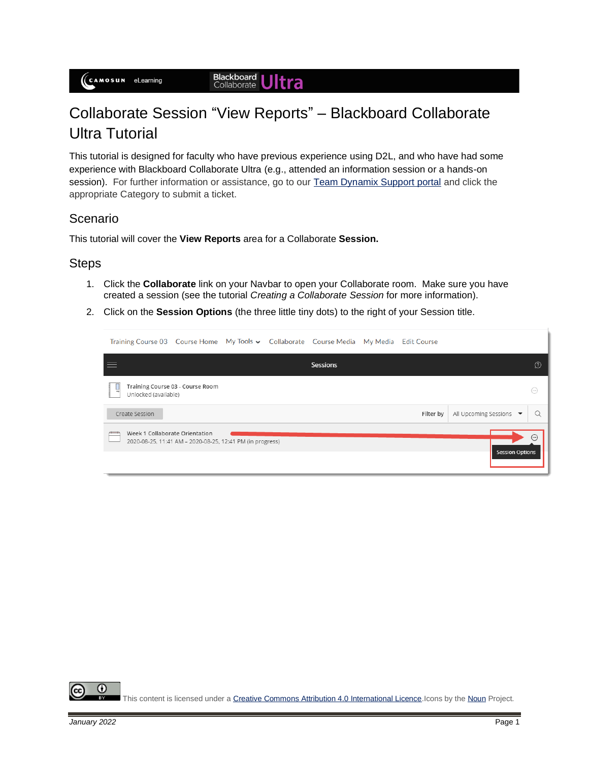## **Blackboard Ultra**

# Collaborate Session "View Reports" – Blackboard Collaborate Ultra Tutorial

This tutorial is designed for faculty who have previous experience using D2L, and who have had some experience with Blackboard Collaborate Ultra (e.g., attended an information session or a hands-on session). For further information or assistance, go to our [Team Dynamix Support portal](https://camosun.teamdynamix.com/TDClient/67/Portal/Requests/ServiceCatalog?CategoryID=523) and click the appropriate Category to submit a ticket.

### Scenario

This tutorial will cover the **View Reports** area for a Collaborate **Session.**

### **Steps**

- 1. Click the **Collaborate** link on your Navbar to open your Collaborate room. Make sure you have created a session (see the tutorial *Creating a Collaborate Session* for more information).
- 2. Click on the **Session Options** (the three little tiny dots) to the right of your Session title.

| Training Course 03 Course Home My Tools v Collaborate Course Media My Media Edit Course                                                        |                                  |  |  |                 |  |           |                       |            |  |
|------------------------------------------------------------------------------------------------------------------------------------------------|----------------------------------|--|--|-----------------|--|-----------|-----------------------|------------|--|
|                                                                                                                                                |                                  |  |  | <b>Sessions</b> |  |           |                       | $\Omega$   |  |
| ᇦ<br>Unlocked (available)                                                                                                                      | Training Course 03 - Course Room |  |  |                 |  |           |                       | $(\cdots)$ |  |
| Create Session                                                                                                                                 |                                  |  |  |                 |  | Filter by | All Upcoming Sessions |            |  |
| Week 1 Collaborate Orientation<br>$(\cdot \cdot \cdot)$<br>2020-08-25, 11:41 AM - 2020-08-25, 12:41 PM (in progress)<br><b>Session Options</b> |                                  |  |  |                 |  |           |                       |            |  |

O This content is licensed under [a Creative Commons Attribution 4.0 International Licence.I](https://creativecommons.org/licenses/by/4.0/)cons by th[e Noun](https://creativecommons.org/website-icons/) Project.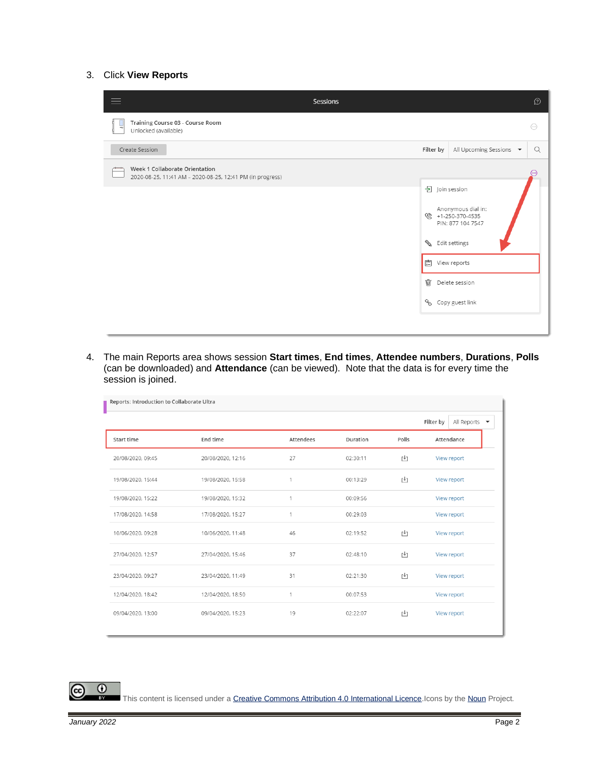#### 3. Click **View Reports**



4. The main Reports area shows session **Start times**, **End times**, **Attendee numbers**, **Durations**, **Polls** (can be downloaded) and **Attendance** (can be viewed). Note that the data is for every time the session is joined.

| Reports: Introduction to Collaborate Ultra |                   |           |          |       |                                               |  |  |  |  |
|--------------------------------------------|-------------------|-----------|----------|-------|-----------------------------------------------|--|--|--|--|
|                                            |                   |           |          |       | All Reports $\blacktriangledown$<br>Filter by |  |  |  |  |
| Start time                                 | End time          | Attendees | Duration | Polls | Attendance                                    |  |  |  |  |
| 20/08/2020, 09:45                          | 20/08/2020, 12:16 | 27        | 02:30:11 | r+1   | View report                                   |  |  |  |  |
| 19/08/2020, 15:44                          | 19/08/2020, 15:58 | 1         | 00:13:29 | 凹     | View report                                   |  |  |  |  |
| 19/08/2020, 15:22                          | 19/08/2020, 15:32 | 1         | 00:09:56 |       | View report                                   |  |  |  |  |
| 17/08/2020, 14:58                          | 17/08/2020, 15:27 | 1         | 00:29:03 |       | View report                                   |  |  |  |  |
| 10/06/2020, 09:28                          | 10/06/2020, 11:48 | 46        | 02:19:52 | г↓ๅ   | View report                                   |  |  |  |  |
| 27/04/2020, 12:57                          | 27/04/2020, 15:46 | 37        | 02:48:10 | ĿŢ.   | View report                                   |  |  |  |  |
| 23/04/2020, 09:27                          | 23/04/2020, 11:49 | 31        | 02:21:30 | r+1   | View report                                   |  |  |  |  |
| 12/04/2020, 18:42                          | 12/04/2020, 18:50 | 1         | 00:07:53 |       | View report                                   |  |  |  |  |
| 09/04/2020, 13:00                          | 09/04/2020, 15:23 | 19        | 02:22:07 | ĿŢ.   | View report                                   |  |  |  |  |

 $\odot$ 

This content is licensed under [a Creative Commons Attribution 4.0 International Licence.I](https://creativecommons.org/licenses/by/4.0/)cons by th[e Noun](https://creativecommons.org/website-icons/) Project.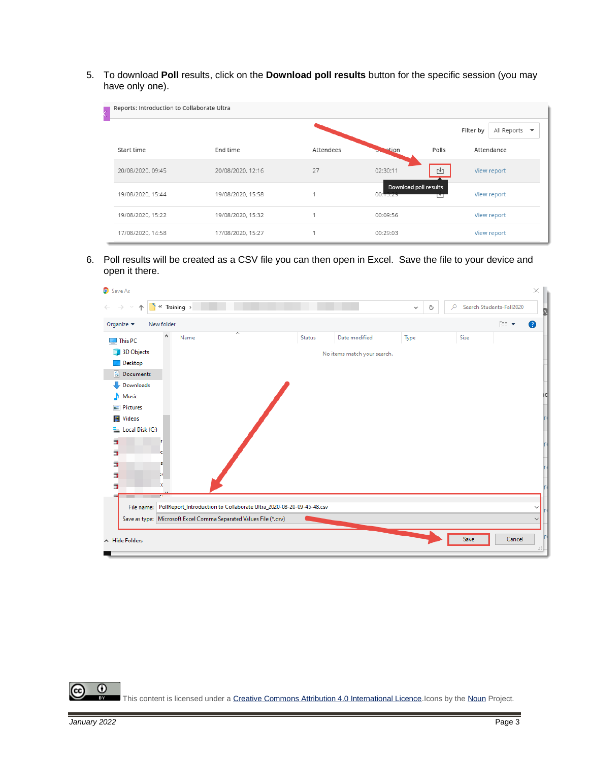5. To download **Poll** results, click on the **Download poll results** button for the specific session (you may have only one).

| Reports: Introduction to Collaborate Ultra |                   |           |                                   |       |             |                                         |  |
|--------------------------------------------|-------------------|-----------|-----------------------------------|-------|-------------|-----------------------------------------|--|
|                                            |                   |           |                                   |       | Filter by   | All Reports<br>$\overline{\phantom{a}}$ |  |
| Start time                                 | End time          | Attendees | estion<br><b>Dealer</b>           | Polls |             | Attendance                              |  |
| 20/08/2020, 09:45                          | 20/08/2020, 12:16 | 27        | 02:30:11<br>凹                     |       | View report |                                         |  |
| 19/08/2020, 15:44                          | 19/08/2020, 15:58 |           | Download poll results<br>00:13.23 |       |             | View report                             |  |
| 19/08/2020, 15:22                          | 19/08/2020, 15:32 |           | 00:09:56                          |       |             | View report                             |  |
| 17/08/2020, 14:58                          | 17/08/2020, 15:27 |           | 00:29:03                          |       |             | View report                             |  |

6. Poll results will be created as a CSV file you can then open in Excel. Save the file to your device and open it there.



 $\odot$ This content is licensed under [a Creative Commons Attribution 4.0 International Licence.I](https://creativecommons.org/licenses/by/4.0/)cons by th[e Noun](https://creativecommons.org/website-icons/) Project.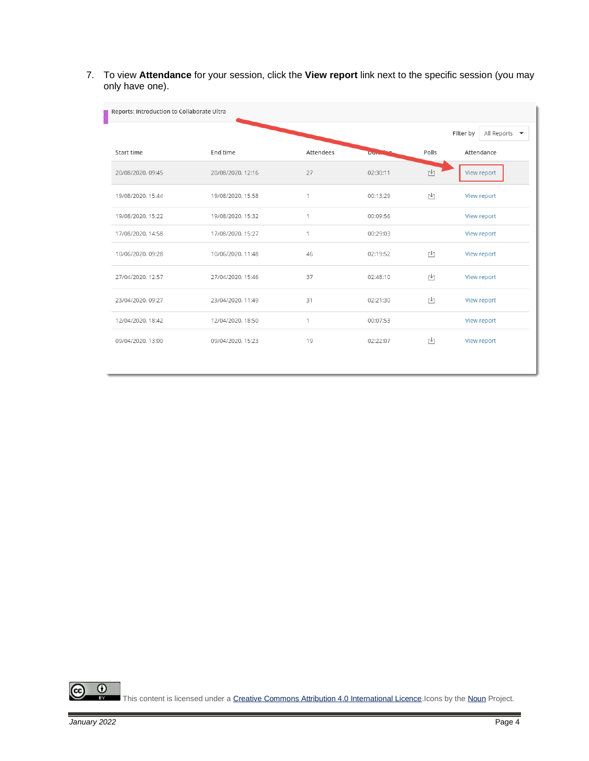7. To view **Attendance** for your session, click the **View report** link next to the specific session (you may only have one).

| Reports: Introduction to Collaborate Ultra |                   |           |              |                             |                                                      |  |  |
|--------------------------------------------|-------------------|-----------|--------------|-----------------------------|------------------------------------------------------|--|--|
|                                            |                   |           |              |                             | Filter by<br>All Reports<br>$\overline{\phantom{a}}$ |  |  |
| Start time                                 | End time          | Attendees | <b>Dunca</b> | Polls                       | Attendance                                           |  |  |
| 20/08/2020, 09:45                          | 20/08/2020, 12:16 | 27        | 02:30:11     | $\mathfrak{r}^{\downarrow}$ | View report                                          |  |  |
| 19/08/2020, 15:44                          | 19/08/2020, 15:58 | 1         | 00:13:29     | г↓1                         | View report                                          |  |  |
| 19/08/2020, 15:22                          | 19/08/2020, 15:32 | 1         | 00:09:56     |                             | View report                                          |  |  |
| 17/08/2020, 14:58                          | 17/08/2020, 15:27 | 1         | 00:29:03     |                             | View report                                          |  |  |
| 10/06/2020, 09:28                          | 10/06/2020, 11:48 | 46        | 02:19:52     | ĿŢ                          | View report                                          |  |  |
| 27/04/2020, 12:57                          | 27/04/2020, 15:46 | 37        | 02:48:10     | [↓]                         | View report                                          |  |  |
| 23/04/2020, 09:27                          | 23/04/2020, 11:49 | 31        | 02:21:30     | r41                         | View report                                          |  |  |
| 12/04/2020, 18:42                          | 12/04/2020, 18:50 | 1         | 00:07:53     |                             | View report                                          |  |  |
| 09/04/2020, 13:00                          | 09/04/2020, 15:23 | 19        | 02:22:07     | r+1                         | View report                                          |  |  |

 $\overline{0}$ (cc Б

This content is licensed under [a Creative Commons Attribution 4.0 International Licence.I](https://creativecommons.org/licenses/by/4.0/)cons by th[e Noun](https://creativecommons.org/website-icons/) Project.